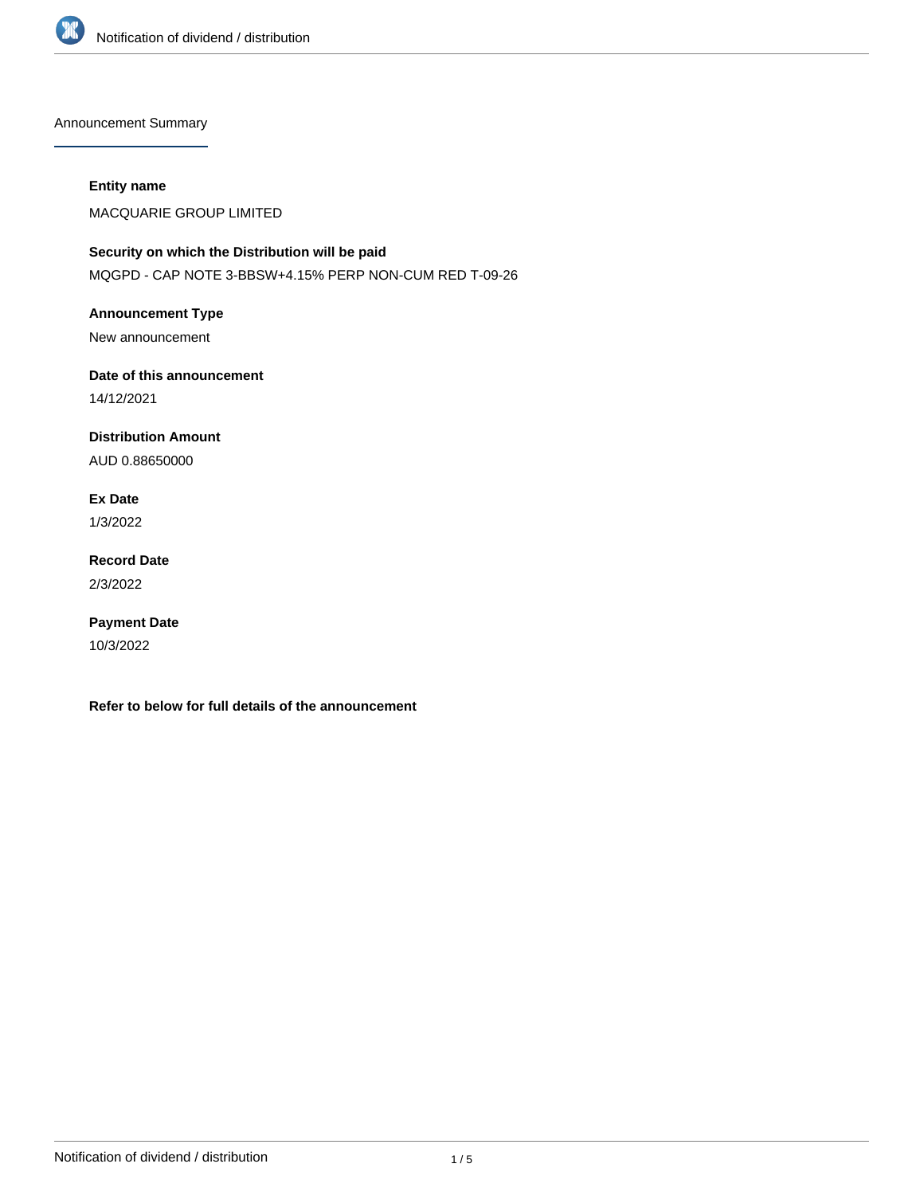

Announcement Summary

#### **Entity name**

MACQUARIE GROUP LIMITED

# **Security on which the Distribution will be paid**

MQGPD - CAP NOTE 3-BBSW+4.15% PERP NON-CUM RED T-09-26

## **Announcement Type**

New announcement

### **Date of this announcement**

14/12/2021

### **Distribution Amount**

AUD 0.88650000

### **Ex Date**

1/3/2022

### **Record Date** 2/3/2022

# **Payment Date**

10/3/2022

**Refer to below for full details of the announcement**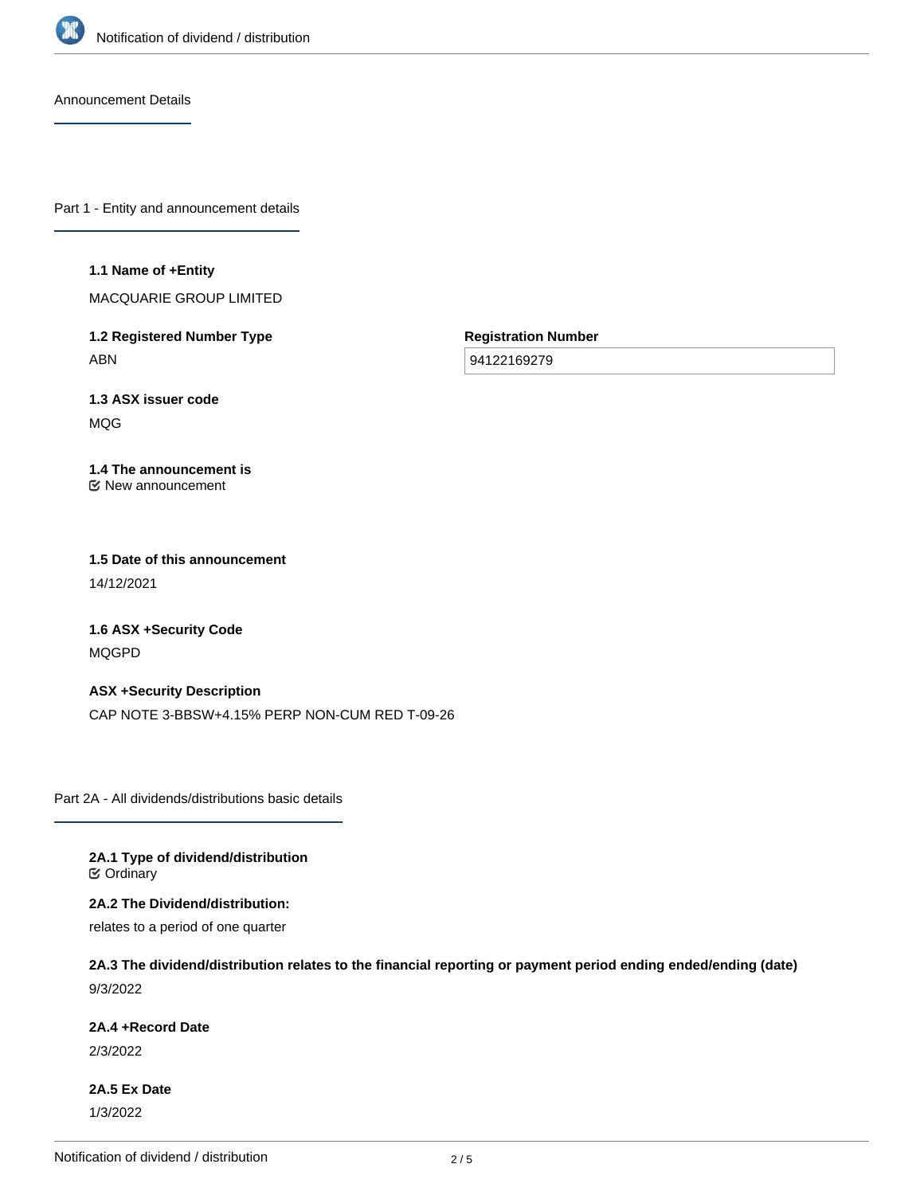

Announcement Details

Part 1 - Entity and announcement details

#### **1.1 Name of +Entity**

MACQUARIE GROUP LIMITED

**1.2 Registered Number Type** ABN

**Registration Number**

94122169279

**1.3 ASX issuer code** MQG

#### **1.4 The announcement is** New announcement

### **1.5 Date of this announcement** 14/12/2021

**1.6 ASX +Security Code** MQGPD

**ASX +Security Description** CAP NOTE 3-BBSW+4.15% PERP NON-CUM RED T-09-26

Part 2A - All dividends/distributions basic details

**2A.1 Type of dividend/distribution C** Ordinary

**2A.2 The Dividend/distribution:**

relates to a period of one quarter

**2A.3 The dividend/distribution relates to the financial reporting or payment period ending ended/ending (date)** 9/3/2022

#### **2A.4 +Record Date**

2/3/2022

**2A.5 Ex Date** 1/3/2022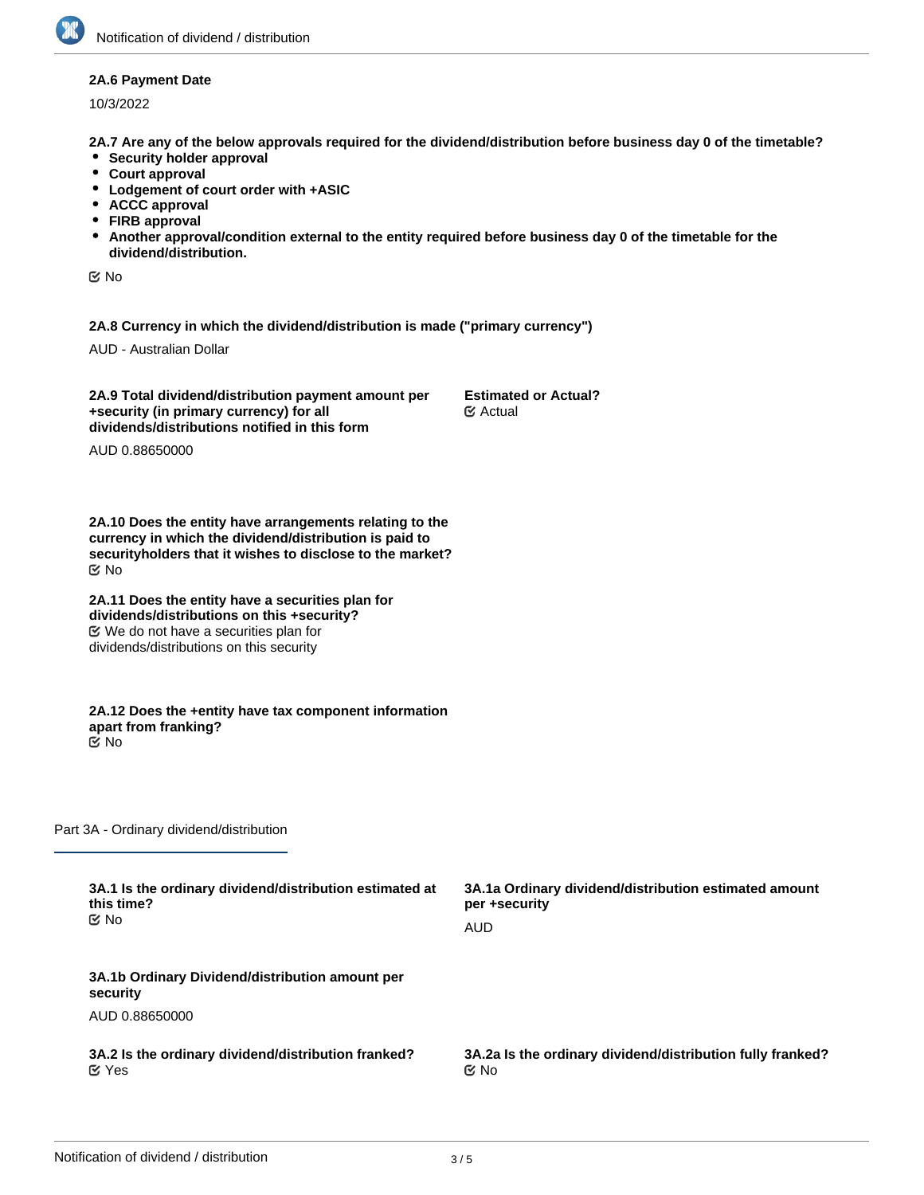#### **2A.6 Payment Date**

10/3/2022

**2A.7 Are any of the below approvals required for the dividend/distribution before business day 0 of the timetable?**

- **•** Security holder approval
- **Court approval**
- **Lodgement of court order with +ASIC**
- **ACCC approval**
- **FIRB approval**
- **Another approval/condition external to the entity required before business day 0 of the timetable for the dividend/distribution.**

No

**2A.8 Currency in which the dividend/distribution is made ("primary currency")**

AUD - Australian Dollar

**2A.9 Total dividend/distribution payment amount per +security (in primary currency) for all dividends/distributions notified in this form**

**Estimated or Actual?** Actual

AUD 0.88650000

**2A.10 Does the entity have arrangements relating to the currency in which the dividend/distribution is paid to securityholders that it wishes to disclose to the market?** No

**2A.11 Does the entity have a securities plan for dividends/distributions on this +security?** We do not have a securities plan for dividends/distributions on this security

**2A.12 Does the +entity have tax component information apart from franking?** No

Part 3A - Ordinary dividend/distribution

| 3A.1 Is the ordinary dividend/distribution estimated at<br>this time?<br>tiX No | 3A.1a Ordinary dividend/distribution estimated amount<br>per +security |
|---------------------------------------------------------------------------------|------------------------------------------------------------------------|
|                                                                                 | AUD                                                                    |
| 3A.1b Ordinary Dividend/distribution amount per<br>security                     |                                                                        |
| AUD 0.88650000                                                                  |                                                                        |
| 3A.2 Is the ordinary dividend/distribution franked?<br>$\mathfrak C$ Yes        | 3A.2a Is the ordinary dividend/distribution fully franked?<br>় No     |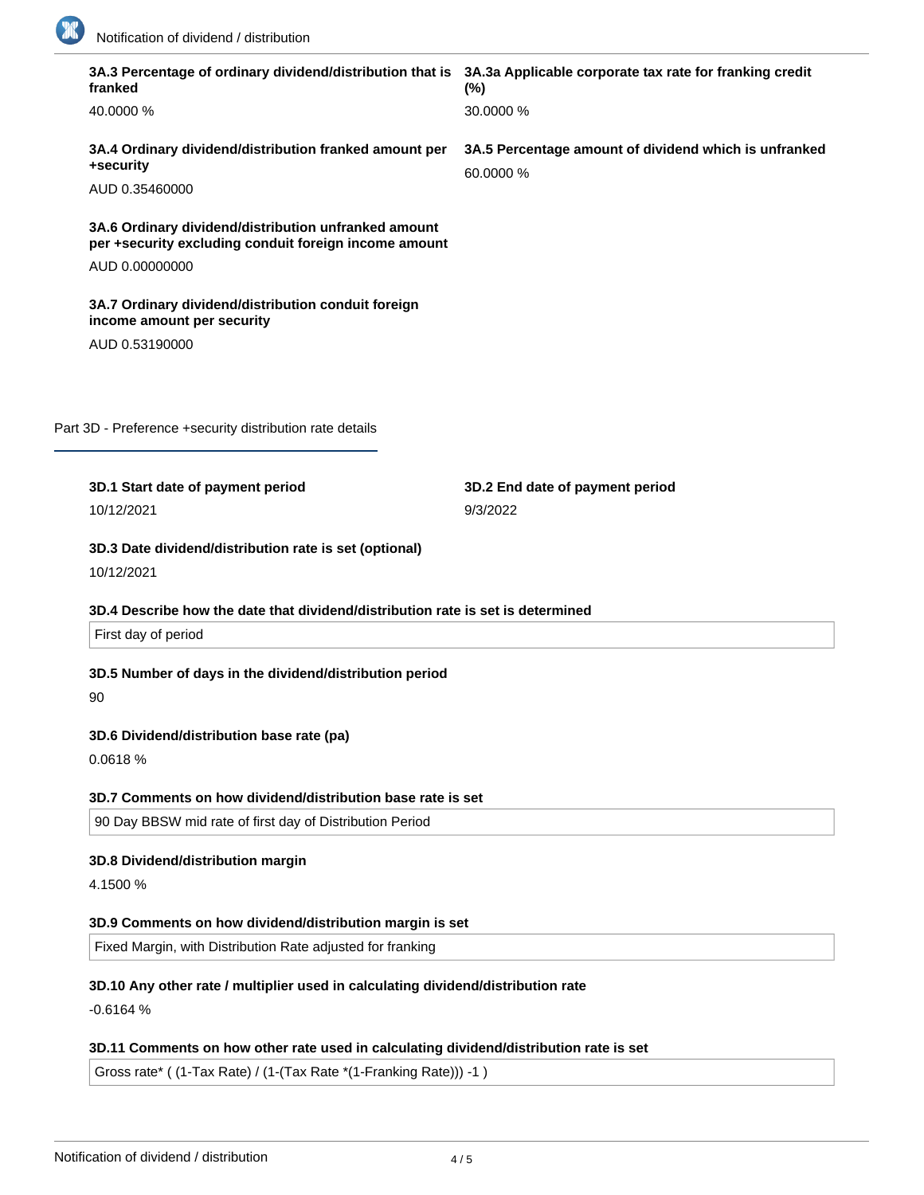

| 3A.3 Percentage of ordinary dividend/distribution that is 3A.3a Applicable corporate tax rate for franking credit<br>franked | $(\%)$                                                             |
|------------------------------------------------------------------------------------------------------------------------------|--------------------------------------------------------------------|
| 40.0000 %                                                                                                                    | 30.0000 %                                                          |
| 3A.4 Ordinary dividend/distribution franked amount per<br>+security                                                          | 3A.5 Percentage amount of dividend which is unfranked<br>60.0000 % |
| AUD 0.35460000                                                                                                               |                                                                    |
| 3A.6 Ordinary dividend/distribution unfranked amount<br>per +security excluding conduit foreign income amount                |                                                                    |
| AUD 0.00000000                                                                                                               |                                                                    |
| 3A.7 Ordinary dividend/distribution conduit foreign<br>income amount per security                                            |                                                                    |
| AUD 0.53190000                                                                                                               |                                                                    |
|                                                                                                                              |                                                                    |
| Part 3D - Preference +security distribution rate details                                                                     |                                                                    |
| 3D.1 Start date of payment period                                                                                            | 3D.2 End date of payment period                                    |
| 10/12/2021                                                                                                                   | 9/3/2022                                                           |
| 3D.4 Describe how the date that dividend/distribution rate is set is determined<br>First day of period                       |                                                                    |
| 3D.5 Number of days in the dividend/distribution period<br>90                                                                |                                                                    |
| 3D.6 Dividend/distribution base rate (pa)                                                                                    |                                                                    |
| 0.0618 %                                                                                                                     |                                                                    |
| 3D.7 Comments on how dividend/distribution base rate is set                                                                  |                                                                    |
| 90 Day BBSW mid rate of first day of Distribution Period                                                                     |                                                                    |
| 3D.8 Dividend/distribution margin                                                                                            |                                                                    |
| 4.1500 %                                                                                                                     |                                                                    |
| 3D.9 Comments on how dividend/distribution margin is set                                                                     |                                                                    |
| Fixed Margin, with Distribution Rate adjusted for franking                                                                   |                                                                    |
|                                                                                                                              |                                                                    |
| 3D.10 Any other rate / multiplier used in calculating dividend/distribution rate<br>$-0.6164%$                               |                                                                    |
|                                                                                                                              |                                                                    |
| 3D.11 Comments on how other rate used in calculating dividend/distribution rate is set                                       |                                                                    |
| Gross rate* ((1-Tax Rate) / (1-(Tax Rate *(1-Franking Rate))) -1)                                                            |                                                                    |